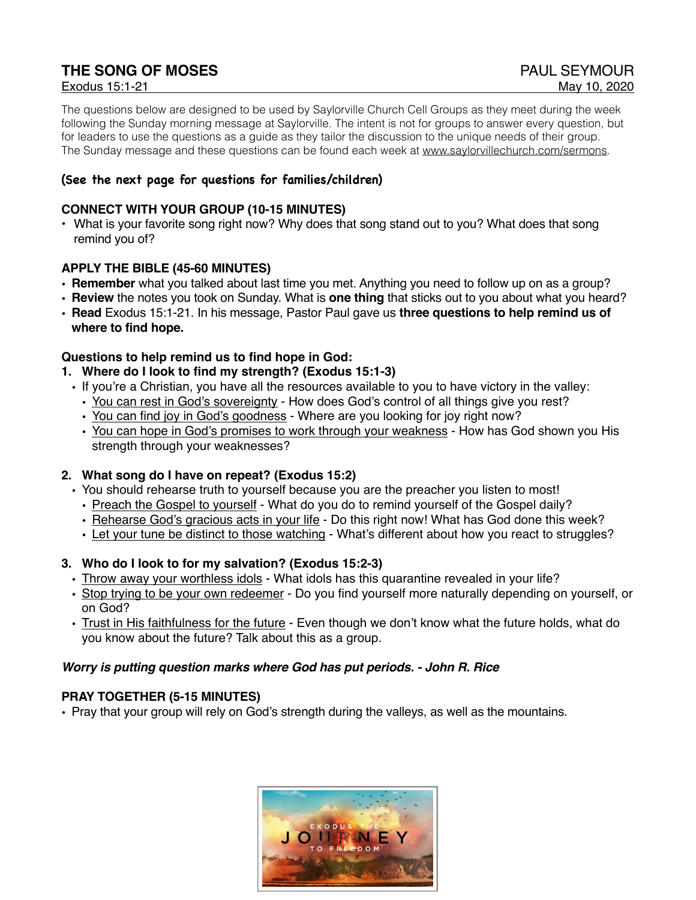## **THE SONG OF MOSES PAUL SEYMOUR**

The questions below are designed to be used by Saylorville Church Cell Groups as they meet during the week following the Sunday morning message at Saylorville. The intent is not for groups to answer every question, but for leaders to use the questions as a guide as they tailor the discussion to the unique needs of their group. The Sunday message and these questions can be found each week at [www.saylorvillechurch.com/sermons](http://www.saylorvillechurch.com/sermons).

#### **(See the next page for questions for families/children)**

#### **CONNECT WITH YOUR GROUP (10-15 MINUTES)**

• What is your favorite song right now? Why does that song stand out to you? What does that song remind you of?

#### **APPLY THE BIBLE (45-60 MINUTES)**

- **• Remember** what you talked about last time you met. Anything you need to follow up on as a group?
- **• Review** the notes you took on Sunday. What is **one thing** that sticks out to you about what you heard?
- **• Read** Exodus 15:1-21. In his message, Pastor Paul gave us **three questions to help remind us of where to find hope.**

#### **Questions to help remind us to find hope in God:**

#### **1. Where do I look to find my strength? (Exodus 15:1-3)**

- If you're a Christian, you have all the resources available to you to have victory in the valley:
	- You can rest in God's sovereignty How does God's control of all things give you rest?
	- You can find joy in God's goodness Where are you looking for joy right now?
	- You can hope in God's promises to work through your weakness How has God shown you His strength through your weaknesses?

#### **2. What song do I have on repeat? (Exodus 15:2)**

- You should rehearse truth to yourself because you are the preacher you listen to most!
	- Preach the Gospel to yourself What do you do to remind yourself of the Gospel daily?
	- Rehearse God's gracious acts in your life Do this right now! What has God done this week?
	- Let your tune be distinct to those watching What's different about how you react to struggles?

#### **3. Who do I look to for my salvation? (Exodus 15:2-3)**

- Throw away your worthless idols What idols has this quarantine revealed in your life?
- Stop trying to be your own redeemer Do you find yourself more naturally depending on yourself, or on God?
- Trust in His faithfulness for the future Even though we don't know what the future holds, what do you know about the future? Talk about this as a group.

#### *Worry is putting question marks where God has put periods. - John R. Rice*

#### **PRAY TOGETHER (5-15 MINUTES)**

• Pray that your group will rely on God's strength during the valleys, as well as the mountains.

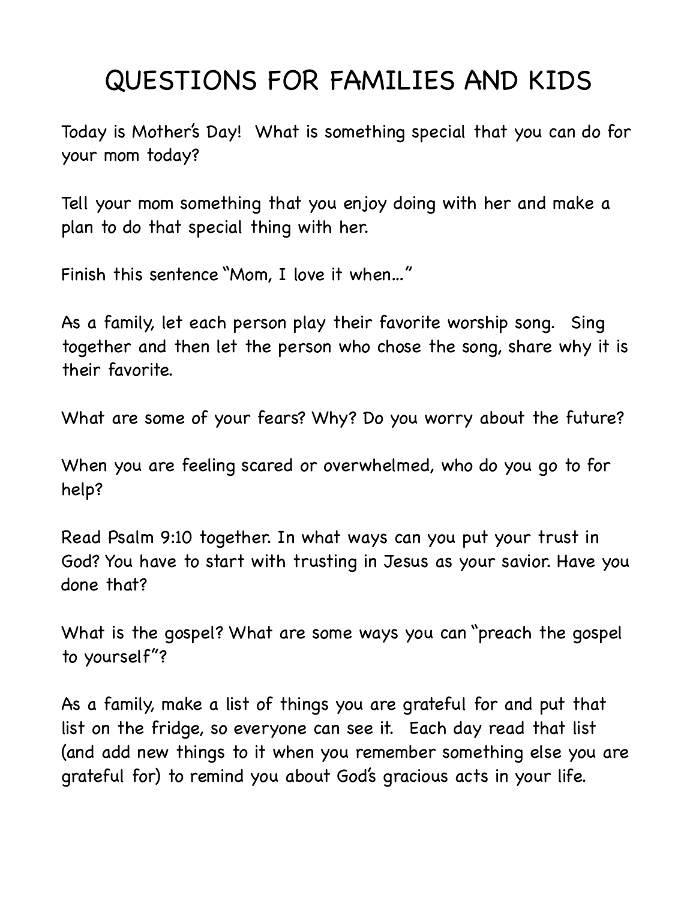# QUESTIONS FOR FAMILIES AND KIDS

Today is Mother's Day! What is something special that you can do for your mom today?

Tell your mom something that you enjoy doing with her and make a plan to do that special thing with her.

Finish this sentence "Mom, I love it when…"

As a family, let each person play their favorite worship song. Sing together and then let the person who chose the song, share why it is their favorite.

What are some of your fears? Why? Do you worry about the future?

When you are feeling scared or overwhelmed, who do you go to for help?

Read Psalm 9:10 together. In what ways can you put your trust in God? You have to start with trusting in Jesus as your savior. Have you done that?

What is the gospel? What are some ways you can "preach the gospel to yourself"?

As a family, make a list of things you are grateful for and put that list on the fridge, so everyone can see it. Each day read that list (and add new things to it when you remember something else you are grateful for) to remind you about God's gracious acts in your life.